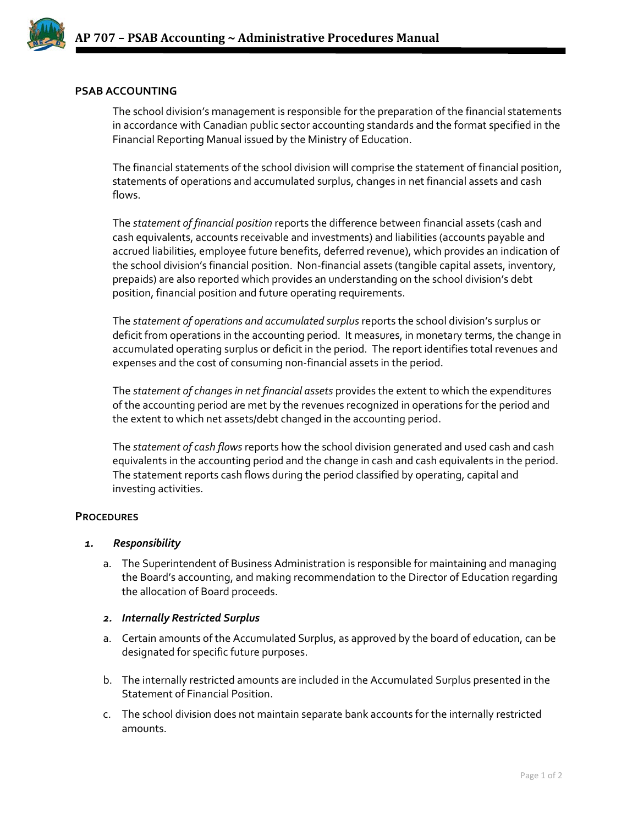

## **PSAB ACCOUNTING**

The school division's management is responsible for the preparation of the financial statements in accordance with Canadian public sector accounting standards and the format specified in the Financial Reporting Manual issued by the Ministry of Education.

The financial statements of the school division will comprise the statement of financial position, statements of operations and accumulated surplus, changes in net financial assets and cash flows.

The *statement of financial position* reports the difference between financial assets (cash and cash equivalents, accounts receivable and investments) and liabilities (accounts payable and accrued liabilities, employee future benefits, deferred revenue), which provides an indication of the school division's financial position. Non-financial assets (tangible capital assets, inventory, prepaids) are also reported which provides an understanding on the school division's debt position, financial position and future operating requirements.

The *statement of operations and accumulated surplus* reports the school division's surplus or deficit from operations in the accounting period. It measures, in monetary terms, the change in accumulated operating surplus or deficit in the period. The report identifies total revenues and expenses and the cost of consuming non-financial assets in the period.

The *statement of changes in net financial assets* provides the extent to which the expenditures of the accounting period are met by the revenues recognized in operations for the period and the extent to which net assets/debt changed in the accounting period.

The *statement of cash flows* reports how the school division generated and used cash and cash equivalents in the accounting period and the change in cash and cash equivalents in the period. The statement reports cash flows during the period classified by operating, capital and investing activities.

### **PROCEDURES**

### *1. Responsibility*

a. The Superintendent of Business Administration is responsible for maintaining and managing the Board's accounting, and making recommendation to the Director of Education regarding the allocation of Board proceeds.

### *2. Internally Restricted Surplus*

- a. Certain amounts of the Accumulated Surplus, as approved by the board of education, can be designated for specific future purposes.
- b. The internally restricted amounts are included in the Accumulated Surplus presented in the Statement of Financial Position.
- c. The school division does not maintain separate bank accounts for the internally restricted amounts.